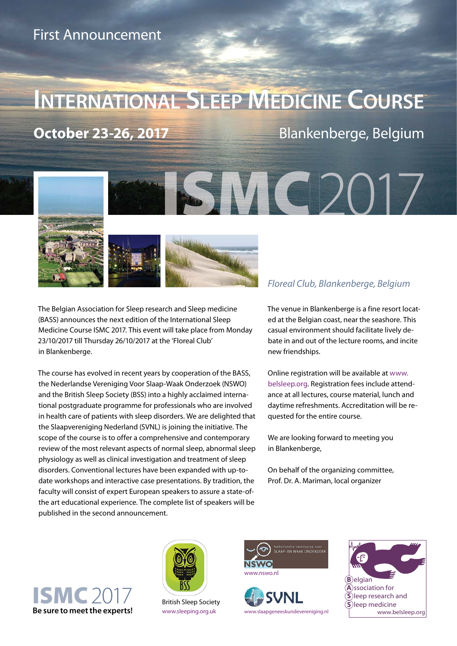# **INTERNATIONAL SLEEP MEDICINE COURSE**

**October 23-26, 2017** Blankenberge, Belgium



The Belgian Association for Sleep research and Sleep medicine (BASS) announces the next edition of the International Sleep Medicine Course ISMC 2017. This event will take place from Monday 23/10/2017 till Thursday 26/10/2017 at the 'Floreal Club' in Blankenberge.

The course has evolved in recent years by cooperation of the BASS, the Nederlandse Vereniging Voor Slaap-Waak Onderzoek (NSWO) and the British Sleep Society (BSS) into a highly acclaimed international postgraduate programme for professionals who are involved in health care of patients with sleep disorders. We are delighted that the Slaapvereniging Nederland (SVNL) is joining the initiative. The scope of the course is to offer a comprehensive and contemporary review of the most relevant aspects of normal sleep, abnormal sleep physiology as well as clinical investigation and treatment of sleep disorders. Conventional lectures have been expanded with up-todate workshops and interactive case presentations. By tradition, the faculty will consist of expert European speakers to assure a state-ofthe art educational experience. The complete list of speakers will be published in the second announcement.

The venue in Blankenberge is a fine resort located at the Belgian coast, near the seashore. This casual environment should facilitate lively debate in and out of the lecture rooms, and incite new friendships.

Online registration will be available at www. [belsleep.org. Registration fees include attend](http://belsleep.org/education.aspx)ance at all lectures, course material, lunch and daytime refreshments. Accreditation will be requested for the entire course.

We are looking forward to meeting you in Blankenberge,

On behalf of the organizing committee, Prof. Dr. A. Mariman, local organizer





British Sleep Society